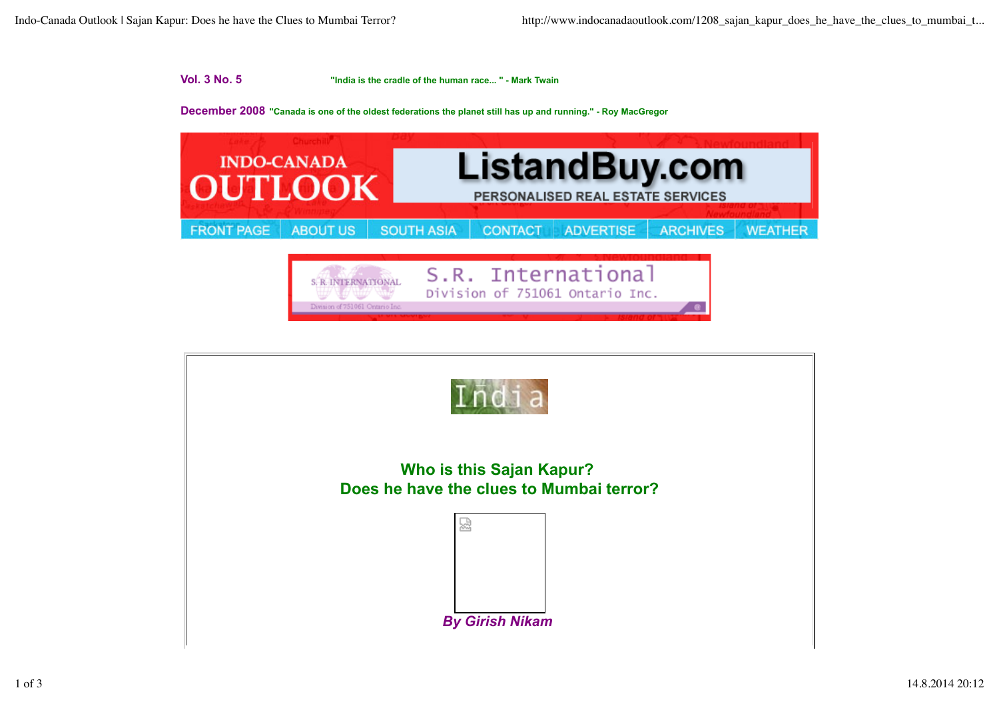## **Vol. 3 No. 5 "India is the cradle of the human race... " - Mark Twain**

## **December 2008 "Canada is one of the oldest federations the planet still has up and running." - Roy MacGregor**



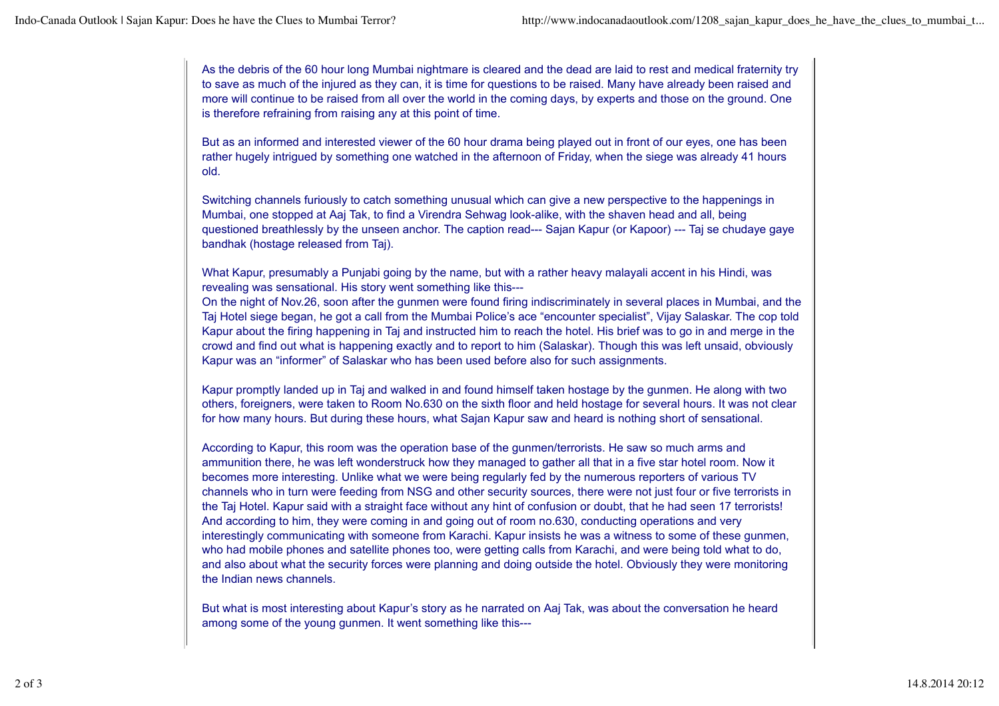As the debris of the 60 hour long Mumbai nightmare is cleared and the dead are laid to rest and medical fraternity try to save as much of the injured as they can, it is time for questions to be raised. Many have already been raised and more will continue to be raised from all over the world in the coming days, by experts and those on the ground. One is therefore refraining from raising any at this point of time.

But as an informed and interested viewer of the 60 hour drama being played out in front of our eyes, one has been rather hugely intrigued by something one watched in the afternoon of Friday, when the siege was already 41 hours old.

Switching channels furiously to catch something unusual which can give a new perspective to the happenings in Mumbai, one stopped at Aaj Tak, to find a Virendra Sehwag look-alike, with the shaven head and all, being questioned breathlessly by the unseen anchor. The caption read--- Sajan Kapur (or Kapoor) --- Taj se chudaye gaye bandhak (hostage released from Taj).

What Kapur, presumably a Punjabi going by the name, but with a rather heavy malayali accent in his Hindi, was revealing was sensational. His story went something like this---

On the night of Nov.26, soon after the gunmen were found firing indiscriminately in several places in Mumbai, and the Taj Hotel siege began, he got a call from the Mumbai Police's ace "encounter specialist", Vijay Salaskar. The cop told Kapur about the firing happening in Taj and instructed him to reach the hotel. His brief was to go in and merge in the crowd and find out what is happening exactly and to report to him (Salaskar). Though this was left unsaid, obviously Kapur was an "informer" of Salaskar who has been used before also for such assignments.

Kapur promptly landed up in Taj and walked in and found himself taken hostage by the gunmen. He along with two others, foreigners, were taken to Room No.630 on the sixth floor and held hostage for several hours. It was not clear for how many hours. But during these hours, what Sajan Kapur saw and heard is nothing short of sensational.

According to Kapur, this room was the operation base of the gunmen/terrorists. He saw so much arms and ammunition there, he was left wonderstruck how they managed to gather all that in a five star hotel room. Now it becomes more interesting. Unlike what we were being regularly fed by the numerous reporters of various TV channels who in turn were feeding from NSG and other security sources, there were not just four or five terrorists in the Taj Hotel. Kapur said with a straight face without any hint of confusion or doubt, that he had seen 17 terrorists! And according to him, they were coming in and going out of room no.630, conducting operations and very interestingly communicating with someone from Karachi. Kapur insists he was a witness to some of these gunmen, who had mobile phones and satellite phones too, were getting calls from Karachi, and were being told what to do, and also about what the security forces were planning and doing outside the hotel. Obviously they were monitoring the Indian news channels.

But what is most interesting about Kapur's story as he narrated on Aaj Tak, was about the conversation he heard among some of the young gunmen. It went something like this---